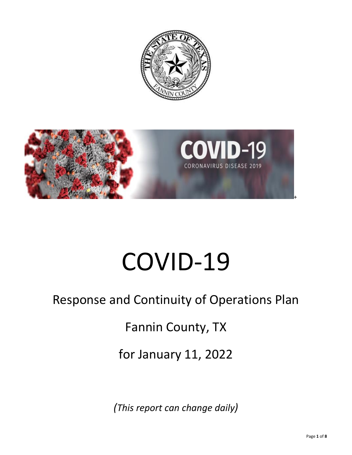



# COVID-19

# Response and Continuity of Operations Plan

Fannin County, TX

for January 11, 2022

*(This report can change daily)*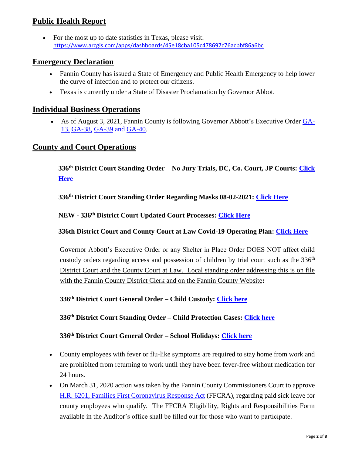# **Public Health Report**

 For the most up to date statistics in Texas, please visit: <https://www.arcgis.com/apps/dashboards/45e18cba105c478697c76acbbf86a6bc>

#### **Emergency Declaration**

- Fannin County has issued a State of Emergency and Public Health Emergency to help lower the curve of infection and to protect our citizens.
- Texas is currently under a State of Disaster Proclamation by Governor Abbot.

#### **Individual Business Operations**

 As of August 3, 2021, Fannin County is following Governor Abbott's Executive Order [GA-](https://gov.texas.gov/uploads/files/press/EO-GA-13_jails_and_bail_for_COVID-19_IMAGE_03-29-2020.pdf)[13,](https://gov.texas.gov/uploads/files/press/EO-GA-13_jails_and_bail_for_COVID-19_IMAGE_03-29-2020.pdf) [GA-38,](https://gov.texas.gov/uploads/files/press/EO-GA-38_continued_response_to_the_COVID-19_disaster_IMAGE_07-29-2021.pdf) [GA-39](https://gov.texas.gov/uploads/files/press/EO-GA-39_prohibiting_vaccine_mandates_and_vaccine_passports_IMAGE_08-25-2021.pdf) and [GA-40.](https://gov.texas.gov/uploads/files/press/EO-GA-40_prohibiting_vaccine_mandates_legislative_action_IMAGE_10-11-2021.pdf)

#### **County and Court Operations**

**336th District Court Standing Order – No Jury Trials, DC, Co. Court, JP Courts: [Click](http://www.co.fannin.tx.us/upload/page/9928/docs/336th%20District%20Court%20Standing%20Order-No%20Jury%20Trials%20in%20January%202022.pdf)  [Here](http://www.co.fannin.tx.us/upload/page/9928/docs/336th%20District%20Court%20Standing%20Order-No%20Jury%20Trials%20in%20January%202022.pdf)**

**336th District Court Standing Order Regarding Masks 08-02-2021: [Click Here](http://www.co.fannin.tx.us/upload/page/9928/docs/Standing%20Order%208%202%202021%20Masks.pdf)**

**NEW - 336th District Court Updated Court Processes: [Click Here](https://newtools.cira.state.tx.us/upload/page/9928/docs/336th%20District%20Court%20Changes%20in%20Processes5_3.pdf)**

**336th District Court and County Court at Law Covid-19 Operating Plan: [Click Here](http://www.co.fannin.tx.us/upload/page/9935/docs/07-14-2020%20336th%20and%20County%20Court%20at%20Law%20Operating%20Plan.pdf)**

Governor Abbott's Executive Order or any Shelter in Place Order DOES NOT affect child custody orders regarding access and possession of children by trial court such as the  $336<sup>th</sup>$ District Court and the County Court at Law. Local standing order addressing this is on file with the Fannin County District Clerk and on the Fannin County Website**:**

**336th District Court General Order – Child Custody: [Click here](http://www.co.fannin.tx.us/upload/page/9928/docs/General%20Order%20-%20Child%20Custody%2003-31-2020.pdf)**

**336th District Court Standing Order – Child Protection Cases: [Click here](http://www.co.fannin.tx.us/upload/page/9928/docs/Standing%20Order%20-%20Child%20Protection%20Cases%2003-23-2020.pdf)**

#### **336th District Court General Order – School Holidays: [Click here](http://www.co.fannin.tx.us/upload/page/9928/docs/General%20Order%20-%20School%20Holidays%2003-23-2020.pdf)**

- County employees with fever or flu-like symptoms are required to stay home from work and are prohibited from returning to work until they have been fever-free without medication for 24 hours.
- On March 31, 2020 action was taken by the Fannin County Commissioners Court to approve [H.R. 6201, Families First Coronavirus Response Act](http://www.co.fannin.tx.us/upload/page/7034/docs/H.R.%206201.pdf) (FFCRA), regarding paid sick leave for county employees who qualify. The FFCRA Eligibility, Rights and Responsibilities Form available in the Auditor's office shall be filled out for those who want to participate.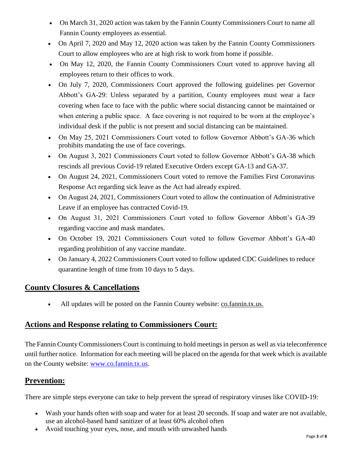- On March 31, 2020 action was taken by the Fannin County Commissioners Court to name all Fannin County employees as essential.
- On April 7, 2020 and May 12, 2020 action was taken by the Fannin County Commissioners Court to allow employees who are at high risk to work from home if possible.
- On May 12, 2020, the Fannin County Commissioners Court voted to approve having all employees return to their offices to work.
- On July 7, 2020, Commissioners Court approved the following guidelines per Governor Abbott's GA-29: Unless separated by a partition, County employees must wear a face covering when face to face with the public where social distancing cannot be maintained or when entering a public space. A face covering is not required to be worn at the employee's individual desk if the public is not present and social distancing can be maintained.
- On May 25, 2021 Commissioners Court voted to follow Governor Abbott's GA-36 which prohibits mandating the use of face coverings.
- On August 3, 2021 Commissioners Court voted to follow Governor Abbott's GA-38 which rescinds all previous Covid-19 related Executive Orders except GA-13 and GA-37.
- On August 24, 2021, Commissioners Court voted to remove the Families First Coronavirus Response Act regarding sick leave as the Act had already expired.
- On August 24, 2021, Commissioners Court voted to allow the continuation of Administrative Leave if an employee has contracted Covid-19.
- On August 31, 2021 Commissioners Court voted to follow Governor Abbott's GA-39 regarding vaccine and mask mandates.
- On October 19, 2021 Commissioners Court voted to follow Governor Abbott's GA-40 regarding prohibition of any vaccine mandate.
- On January 4, 2022 Commissioners Court voted to follow updated CDC Guidelines to reduce quarantine length of time from 10 days to 5 days.

### **County Closures & Cancellations**

All updates will be posted on the Fannin County website: [co.fannin.tx.us.](http://www.co.fannin.tx.us/)

### **Actions and Response relating to Commissioners Court:**

The Fannin County Commissioners Court is continuing to hold meetings in person as well as via teleconference until further notice. Information for each meeting will be placed on the agenda for that week which is available on the County website: [www.co.fannin.tx.us.](http://www.co.fannin.tx.us/)

# **Prevention:**

There are simple steps everyone can take to help prevent the spread of respiratory viruses like COVID-19:

- Wash your hands often with soap and water for at least 20 seconds. If soap and water are not available, use an alcohol-based hand sanitizer of at least 60% alcohol often
- Avoid touching your eyes, nose, and mouth with unwashed hands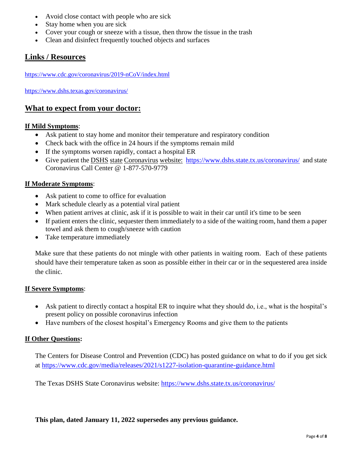- Avoid close contact with people who are sick
- Stay home when you are sick
- Cover your cough or sneeze with a tissue, then throw the tissue in the trash
- Clean and disinfect frequently touched objects and surfaces

# **Links / Resources**

<https://www.cdc.gov/coronavirus/2019-nCoV/index.html>

<https://www.dshs.texas.gov/coronavirus/>

### **What to expect from your doctor:**

#### **If Mild Symptoms**:

- Ask patient to stay home and monitor their temperature and respiratory condition
- Check back with the office in 24 hours if the symptoms remain mild
- If the symptoms worsen rapidly, contact a hospital ER
- Give patient the DSHS state Coronavirus website:<https://www.dshs.state.tx.us/coronavirus/>and state Coronavirus Call Center @ 1-877-570-9779

#### **If Moderate Symptoms**:

- Ask patient to come to office for evaluation
- Mark schedule clearly as a potential viral patient
- When patient arrives at clinic, ask if it is possible to wait in their car until it's time to be seen
- If patient enters the clinic, sequester them immediately to a side of the waiting room, hand them a paper towel and ask them to cough/sneeze with caution
- Take temperature immediately

Make sure that these patients do not mingle with other patients in waiting room. Each of these patients should have their temperature taken as soon as possible either in their car or in the sequestered area inside the clinic.

#### **If Severe Symptoms**:

- Ask patient to directly contact a hospital ER to inquire what they should do, i.e., what is the hospital's present policy on possible coronavirus infection
- Have numbers of the closest hospital's Emergency Rooms and give them to the patients

#### **If Other Questions:**

The Centers for Disease Control and Prevention (CDC) has posted guidance on what to do if you get sick at<https://www.cdc.gov/media/releases/2021/s1227-isolation-quarantine-guidance.html>

The Texas DSHS State Coronavirus website:<https://www.dshs.state.tx.us/coronavirus/>

**This plan, dated January 11, 2022 supersedes any previous guidance.**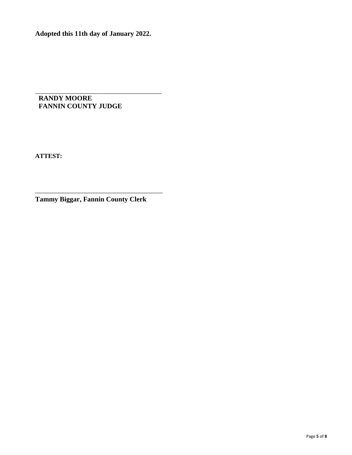**Adopted this 11th day of January 2022.**

**\_\_\_\_\_\_\_\_\_\_\_\_\_\_\_\_\_\_\_\_\_\_\_\_\_\_\_\_\_\_\_\_\_\_\_\_\_\_\_\_\_\_\_\_\_\_\_\_\_\_\_\_\_\_\_ RANDY MOORE FANNIN COUNTY JUDGE**

**ATTEST:**

**Tammy Biggar, Fannin County Clerk**

\_\_\_\_\_\_\_\_\_\_\_\_\_\_\_\_\_\_\_\_\_\_\_\_\_\_\_\_\_\_\_\_\_\_\_\_\_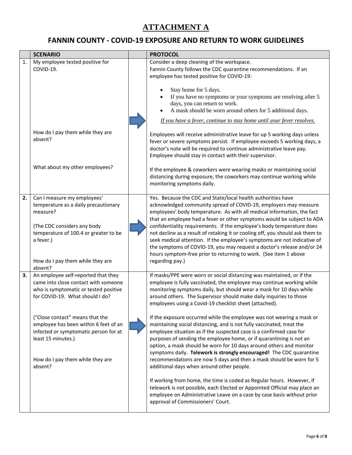# **ATTACHMENT A**

# **FANNIN COUNTY - COVID-19 EXPOSURE AND RETURN TO WORK GUIDELINES**

|    | <b>SCENARIO</b>                                                                                                                                                                                                     | <b>PROTOCOL</b>                                                                                                                                                                                                                                                                                                                                                                                                                                                                                                                                                                                                                                                                             |
|----|---------------------------------------------------------------------------------------------------------------------------------------------------------------------------------------------------------------------|---------------------------------------------------------------------------------------------------------------------------------------------------------------------------------------------------------------------------------------------------------------------------------------------------------------------------------------------------------------------------------------------------------------------------------------------------------------------------------------------------------------------------------------------------------------------------------------------------------------------------------------------------------------------------------------------|
| 1. | My employee tested positive for<br>COVID-19.                                                                                                                                                                        | Consider a deep cleaning of the workspace.<br>Fannin County follows the CDC quarantine recommendations. If an<br>employee has tested positive for COVID-19:                                                                                                                                                                                                                                                                                                                                                                                                                                                                                                                                 |
|    |                                                                                                                                                                                                                     | Stay home for 5 days.<br>If you have no symptoms or your symptoms are resolving after 5<br>days, you can return to work.<br>A mask should be worn around others for 5 additional days.                                                                                                                                                                                                                                                                                                                                                                                                                                                                                                      |
|    |                                                                                                                                                                                                                     | If you have a fever, continue to stay home until your fever resolves.                                                                                                                                                                                                                                                                                                                                                                                                                                                                                                                                                                                                                       |
|    | How do I pay them while they are<br>absent?                                                                                                                                                                         | Employees will receive administrative leave for up 5 working days unless<br>fever or severe symptoms persist. If employee exceeds 5 working days, a<br>doctor's note will be required to continue administrative leave pay.<br>Employee should stay in contact with their supervisor.                                                                                                                                                                                                                                                                                                                                                                                                       |
|    | What about my other employees?                                                                                                                                                                                      | If the employee & coworkers were wearing masks or maintaining social<br>distancing during exposure, the coworkers may continue working while<br>monitoring symptoms daily.                                                                                                                                                                                                                                                                                                                                                                                                                                                                                                                  |
| 2. | Can I measure my employees'<br>temperature as a daily precautionary<br>measure?<br>(The CDC considers any body<br>temperature of 100.4 or greater to be<br>a fever.)<br>How do I pay them while they are<br>absent? | Yes. Because the CDC and State/local health authorities have<br>acknowledged community spread of COVID-19, employers may measure<br>employees' body temperature. As with all medical information, the fact<br>that an employee had a fever or other symptoms would be subject to ADA<br>confidentiality requirements. If the employee's body temperature does<br>not decline as a result of retaking it or cooling off, you should ask them to<br>seek medical attention. If the employee's symptoms are not indicative of<br>the symptoms of COVID-19, you may request a doctor's release and/or 24<br>hours symptom-free prior to returning to work. (See item 1 above<br>regarding pay.) |
| 3. | An employee self-reported that they<br>came into close contact with someone<br>who is symptomatic or tested positive<br>for COVID-19. What should I do?                                                             | If masks/PPE were worn or social distancing was maintained, or if the<br>employee is fully vaccinated, the employee may continue working while<br>monitoring symptoms daily, but should wear a mask for 10 days while<br>around others. The Supervisor should make daily inquiries to those<br>employees using a Covid-19 checklist sheet (attached).                                                                                                                                                                                                                                                                                                                                       |
|    | ("Close contact" means that the<br>employee has been within 6 feet of an<br>infected or symptomatic person for at<br>least 15 minutes.)<br>How do I pay them while they are<br>absent?                              | If the exposure occurred while the employee was not wearing a mask or<br>maintaining social distancing, and is not fully vaccinated, treat the<br>employee situation as if the suspected case is a confirmed case for<br>purposes of sending the employee home, or if quarantining is not an<br>option, a mask should be worn for 10 days around others and monitor<br>symptoms daily. Telework is strongly encouraged! The CDC quarantine<br>recommendations are now 5 days and then a mask should be worn for 5<br>additional days when around other people.                                                                                                                              |
|    |                                                                                                                                                                                                                     | If working from home, the time is coded as Regular hours. However, if<br>telework is not possible, each Elected or Appointed Official may place an<br>employee on Administrative Leave on a case by case basis without prior<br>approval of Commissioners' Court.                                                                                                                                                                                                                                                                                                                                                                                                                           |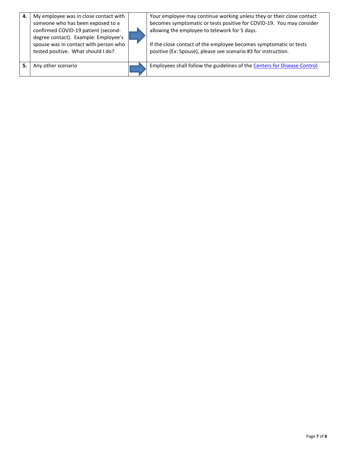| 4. | My employee was in close contact with<br>someone who has been exposed to a<br>confirmed COVID-19 patient (second-<br>degree contact). Example: Employee's<br>spouse was in contact with person who<br>tested positive. What should I do? | Your employee may continue working unless they or their close contact<br>becomes symptomatic or tests positive for COVID-19. You may consider<br>allowing the employee to telework for 5 days.<br>If the close contact of the employee becomes symptomatic or tests<br>positive (Ex: Spouse), please see scenario #3 for instruction. |
|----|------------------------------------------------------------------------------------------------------------------------------------------------------------------------------------------------------------------------------------------|---------------------------------------------------------------------------------------------------------------------------------------------------------------------------------------------------------------------------------------------------------------------------------------------------------------------------------------|
| 5. | Any other scenario                                                                                                                                                                                                                       | Employees shall follow the guidelines of the Centers for Disease Control.                                                                                                                                                                                                                                                             |